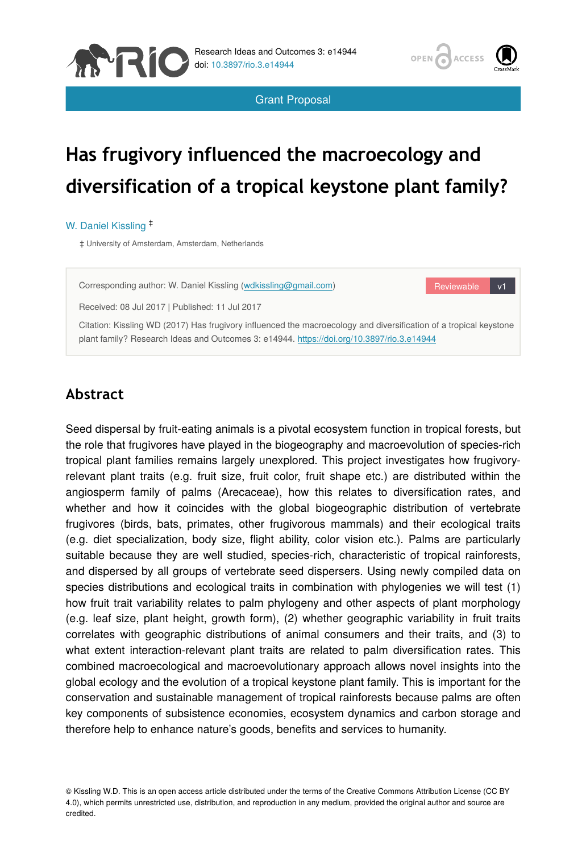

Grant Proposal

# OPEN ACCESS

## **Has frugivory influenced the macroecology and diversification of a tropical keystone plant family?**

#### W. Daniel Kissling ‡

‡ University of Amsterdam, Amsterdam, Netherlands

Corresponding author: W. Daniel Kissling ([wdkissling@gmail.com](mailto:wdkissling@gmail.com))

Reviewable v1

Received: 08 Jul 2017 | Published: 11 Jul 2017

Citation: Kissling WD (2017) Has frugivory influenced the macroecology and diversification of a tropical keystone plant family? Research Ideas and Outcomes 3: e14944.<https://doi.org/10.3897/rio.3.e14944>

## **Abstract**

Seed dispersal by fruit-eating animals is a pivotal ecosystem function in tropical forests, but the role that frugivores have played in the biogeography and macroevolution of species-rich tropical plant families remains largely unexplored. This project investigates how frugivoryrelevant plant traits (e.g. fruit size, fruit color, fruit shape etc.) are distributed within the angiosperm family of palms (Arecaceae), how this relates to diversification rates, and whether and how it coincides with the global biogeographic distribution of vertebrate frugivores (birds, bats, primates, other frugivorous mammals) and their ecological traits (e.g. diet specialization, body size, flight ability, color vision etc.). Palms are particularly suitable because they are well studied, species-rich, characteristic of tropical rainforests, and dispersed by all groups of vertebrate seed dispersers. Using newly compiled data on species distributions and ecological traits in combination with phylogenies we will test (1) how fruit trait variability relates to palm phylogeny and other aspects of plant morphology (e.g. leaf size, plant height, growth form), (2) whether geographic variability in fruit traits correlates with geographic distributions of animal consumers and their traits, and (3) to what extent interaction-relevant plant traits are related to palm diversification rates. This combined macroecological and macroevolutionary approach allows novel insights into the global ecology and the evolution of a tropical keystone plant family. This is important for the conservation and sustainable management of tropical rainforests because palms are often key components of subsistence economies, ecosystem dynamics and carbon storage and therefore help to enhance nature's goods, benefits and services to humanity.

© Kissling W.D. This is an open access article distributed under the terms of the Creative Commons Attribution License (CC BY 4.0), which permits unrestricted use, distribution, and reproduction in any medium, provided the original author and source are credited.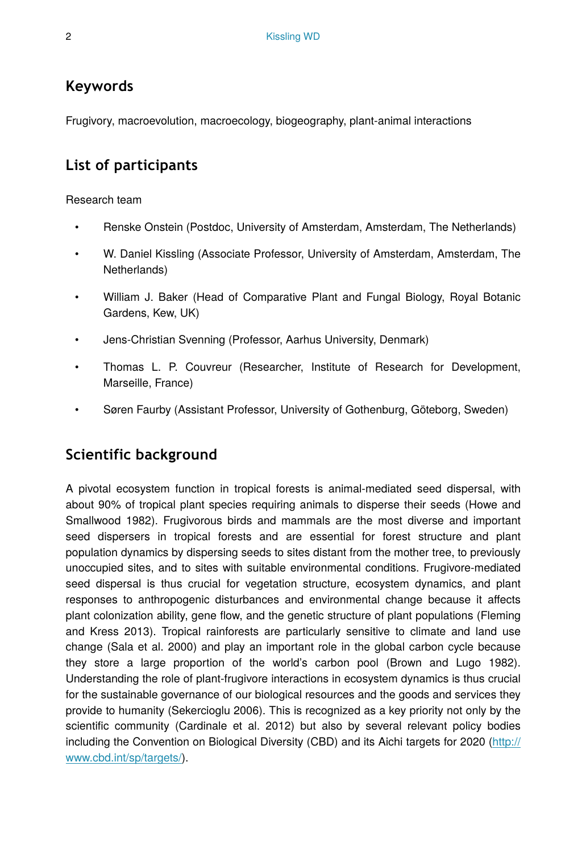### **Keywords**

Frugivory, macroevolution, macroecology, biogeography, plant-animal interactions

## **List of participants**

#### Research team

- Renske Onstein (Postdoc, University of Amsterdam, Amsterdam, The Netherlands)
- W. Daniel Kissling (Associate Professor, University of Amsterdam, Amsterdam, The Netherlands)
- William J. Baker (Head of Comparative Plant and Fungal Biology, Royal Botanic Gardens, Kew, UK)
- Jens-Christian Svenning (Professor, Aarhus University, Denmark)
- Thomas L. P. Couvreur (Researcher, Institute of Research for Development, Marseille, France)
- Søren Faurby (Assistant Professor, University of Gothenburg, Göteborg, Sweden)

## **Scientific background**

A pivotal ecosystem function in tropical forests is animal-mediated seed dispersal, with about 90% of tropical plant species requiring animals to disperse their seeds (Howe and Smallwood 1982). Frugivorous birds and mammals are the most diverse and important seed dispersers in tropical forests and are essential for forest structure and plant population dynamics by dispersing seeds to sites distant from the mother tree, to previously unoccupied sites, and to sites with suitable environmental conditions. Frugivore-mediated seed dispersal is thus crucial for vegetation structure, ecosystem dynamics, and plant responses to anthropogenic disturbances and environmental change because it affects plant colonization ability, gene flow, and the genetic structure of plant populations (Fleming and Kress 2013). Tropical rainforests are particularly sensitive to climate and land use change (Sala et al. 2000) and play an important role in the global carbon cycle because they store a large proportion of the world's carbon pool (Brown and Lugo 1982). Understanding the role of plant-frugivore interactions in ecosystem dynamics is thus crucial for the sustainable governance of our biological resources and the goods and services they provide to humanity (Sekercioglu 2006). This is recognized as a key priority not only by the scientific community (Cardinale et al. 2012) but also by several relevant policy bodies including the Convention on Biological Diversity (CBD) and its Aichi targets for 2020 ([http://](http://www.cbd.int/sp/targets/) [www.cbd.int/sp/targets/\)](http://www.cbd.int/sp/targets/).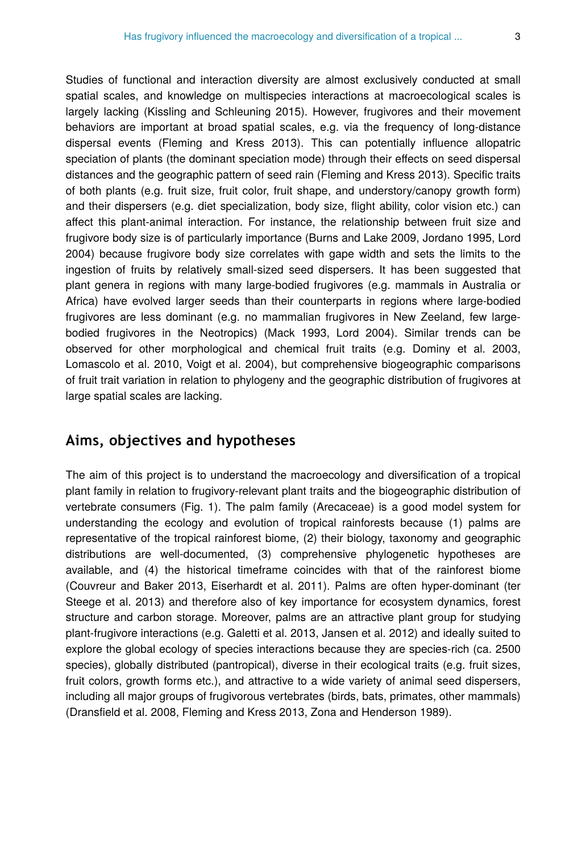Studies of functional and interaction diversity are almost exclusively conducted at small spatial scales, and knowledge on multispecies interactions at macroecological scales is largely lacking (Kissling and Schleuning 2015). However, frugivores and their movement behaviors are important at broad spatial scales, e.g. via the frequency of long-distance dispersal events (Fleming and Kress 2013). This can potentially influence allopatric speciation of plants (the dominant speciation mode) through their effects on seed dispersal distances and the geographic pattern of seed rain (Fleming and Kress 2013). Specific traits of both plants (e.g. fruit size, fruit color, fruit shape, and understory/canopy growth form) and their dispersers (e.g. diet specialization, body size, flight ability, color vision etc.) can affect this plant-animal interaction. For instance, the relationship between fruit size and frugivore body size is of particularly importance (Burns and Lake 2009, Jordano 1995, Lord 2004) because frugivore body size correlates with gape width and sets the limits to the ingestion of fruits by relatively small-sized seed dispersers. It has been suggested that plant genera in regions with many large-bodied frugivores (e.g. mammals in Australia or Africa) have evolved larger seeds than their counterparts in regions where large-bodied frugivores are less dominant (e.g. no mammalian frugivores in New Zeeland, few largebodied frugivores in the Neotropics) (Mack 1993, Lord 2004). Similar trends can be observed for other morphological and chemical fruit traits (e.g. Dominy et al. 2003, Lomascolo et al. 2010, Voigt et al. 2004), but comprehensive biogeographic comparisons of fruit trait variation in relation to phylogeny and the geographic distribution of frugivores at large spatial scales are lacking.

#### **Aims, objectives and hypotheses**

The aim of this project is to understand the macroecology and diversification of a tropical plant family in relation to frugivory-relevant plant traits and the biogeographic distribution of vertebrate consumers (Fig. 1). The palm family (Arecaceae) is a good model system for understanding the ecology and evolution of tropical rainforests because (1) palms are representative of the tropical rainforest biome, (2) their biology, taxonomy and geographic distributions are well-documented, (3) comprehensive phylogenetic hypotheses are available, and (4) the historical timeframe coincides with that of the rainforest biome (Couvreur and Baker 2013, Eiserhardt et al. 2011). Palms are often hyper-dominant (ter Steege et al. 2013) and therefore also of key importance for ecosystem dynamics, forest structure and carbon storage. Moreover, palms are an attractive plant group for studying plant-frugivore interactions (e.g. Galetti et al. 2013, Jansen et al. 2012) and ideally suited to explore the global ecology of species interactions because they are species-rich (ca. 2500 species), globally distributed (pantropical), diverse in their ecological traits (e.g. fruit sizes, fruit colors, growth forms etc.), and attractive to a wide variety of animal seed dispersers, including all major groups of frugivorous vertebrates (birds, bats, primates, other mammals) (Dransfield et al. 2008, Fleming and Kress 2013, Zona and Henderson 1989).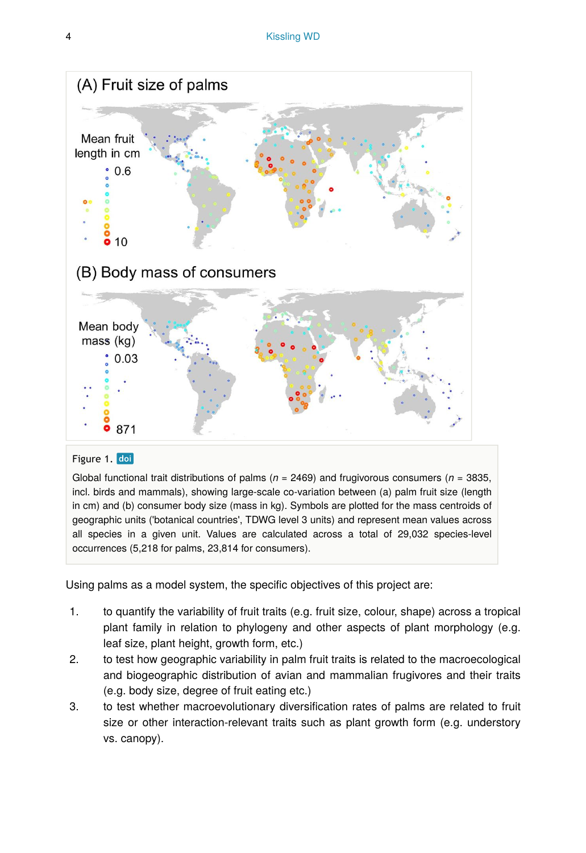

#### Figure 1. doi

Global functional trait distributions of palms (*n* = 2469) and frugivorous consumers (*n* = 3835, incl. birds and mammals), showing large-scale co-variation between (a) palm fruit size (length in cm) and (b) consumer body size (mass in kg). Symbols are plotted for the mass centroids of geographic units ('botanical countries', TDWG level 3 units) and represent mean values across all species in a given unit. Values are calculated across a total of 29,032 species-level occurrences (5,218 for palms, 23,814 for consumers).

Using palms as a model system, the specific objectives of this project are:

- 1. to quantify the variability of fruit traits (e.g. fruit size, colour, shape) across a tropical plant family in relation to phylogeny and other aspects of plant morphology (e.g. leaf size, plant height, growth form, etc.)
- 2. to test how geographic variability in palm fruit traits is related to the macroecological and biogeographic distribution of avian and mammalian frugivores and their traits (e.g. body size, degree of fruit eating etc.)
- 3. to test whether macroevolutionary diversification rates of palms are related to fruit size or other interaction-relevant traits such as plant growth form (e.g. understory vs. canopy).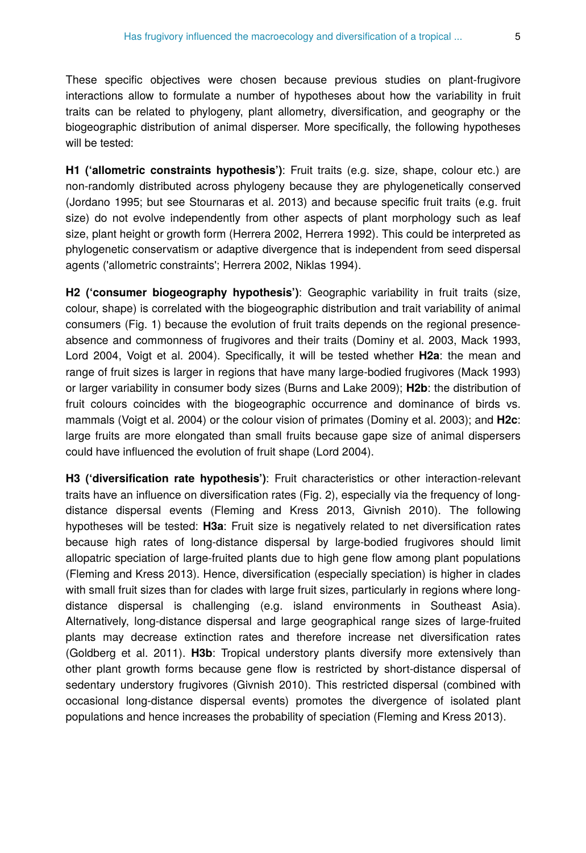These specific objectives were chosen because previous studies on plant-frugivore interactions allow to formulate a number of hypotheses about how the variability in fruit traits can be related to phylogeny, plant allometry, diversification, and geography or the biogeographic distribution of animal disperser. More specifically, the following hypotheses will be tested:

**H1 ('allometric constraints hypothesis')**: Fruit traits (e.g. size, shape, colour etc.) are non-randomly distributed across phylogeny because they are phylogenetically conserved (Jordano 1995; but see Stournaras et al. 2013) and because specific fruit traits (e.g. fruit size) do not evolve independently from other aspects of plant morphology such as leaf size, plant height or growth form (Herrera 2002, Herrera 1992). This could be interpreted as phylogenetic conservatism or adaptive divergence that is independent from seed dispersal agents ('allometric constraints'; Herrera 2002, Niklas 1994).

**H2 ('consumer biogeography hypothesis')**: Geographic variability in fruit traits (size, colour, shape) is correlated with the biogeographic distribution and trait variability of animal consumers (Fig. 1) because the evolution of fruit traits depends on the regional presenceabsence and commonness of frugivores and their traits (Dominy et al. 2003, Mack 1993, Lord 2004, Voigt et al. 2004). Specifically, it will be tested whether **H2a**: the mean and range of fruit sizes is larger in regions that have many large-bodied frugivores (Mack 1993) or larger variability in consumer body sizes (Burns and Lake 2009); **H2b**: the distribution of fruit colours coincides with the biogeographic occurrence and dominance of birds vs. mammals (Voigt et al. 2004) or the colour vision of primates (Dominy et al. 2003); and **H2c**: large fruits are more elongated than small fruits because gape size of animal dispersers could have influenced the evolution of fruit shape (Lord 2004).

**H3 ('diversification rate hypothesis')**: Fruit characteristics or other interaction-relevant traits have an influence on diversification rates (Fig. 2), especially via the frequency of longdistance dispersal events (Fleming and Kress 2013, Givnish 2010). The following hypotheses will be tested: **H3a**: Fruit size is negatively related to net diversification rates because high rates of long-distance dispersal by large-bodied frugivores should limit allopatric speciation of large-fruited plants due to high gene flow among plant populations (Fleming and Kress 2013). Hence, diversification (especially speciation) is higher in clades with small fruit sizes than for clades with large fruit sizes, particularly in regions where longdistance dispersal is challenging (e.g. island environments in Southeast Asia). Alternatively, long-distance dispersal and large geographical range sizes of large-fruited plants may decrease extinction rates and therefore increase net diversification rates (Goldberg et al. 2011). **H3b**: Tropical understory plants diversify more extensively than other plant growth forms because gene flow is restricted by short-distance dispersal of sedentary understory frugivores (Givnish 2010). This restricted dispersal (combined with occasional long-distance dispersal events) promotes the divergence of isolated plant populations and hence increases the probability of speciation (Fleming and Kress 2013).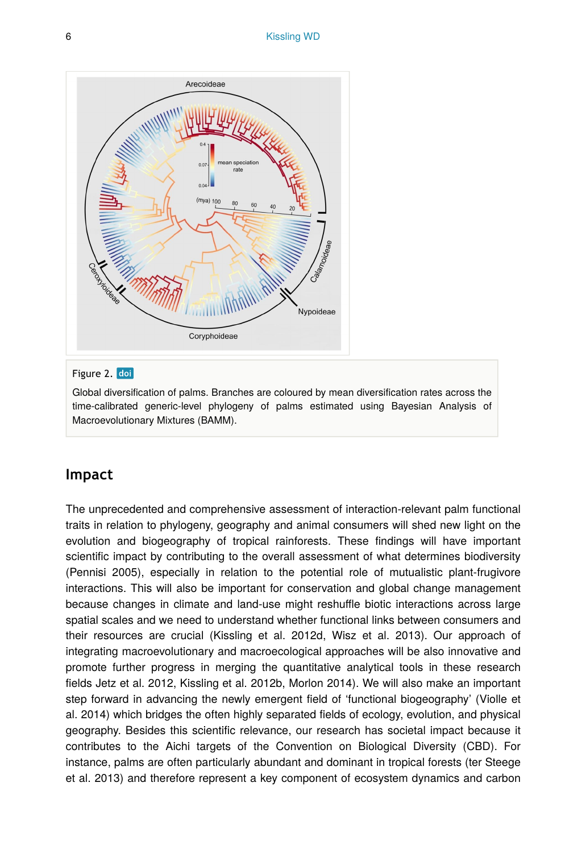

#### Figure 2. doi

Global diversification of palms. Branches are coloured by mean diversification rates across the time-calibrated generic-level phylogeny of palms estimated using Bayesian Analysis of Macroevolutionary Mixtures (BAMM).

#### **Impact**

The unprecedented and comprehensive assessment of interaction-relevant palm functional traits in relation to phylogeny, geography and animal consumers will shed new light on the evolution and biogeography of tropical rainforests. These findings will have important scientific impact by contributing to the overall assessment of what determines biodiversity (Pennisi 2005), especially in relation to the potential role of mutualistic plant-frugivore interactions. This will also be important for conservation and global change management because changes in climate and land-use might reshuffle biotic interactions across large spatial scales and we need to understand whether functional links between consumers and their resources are crucial (Kissling et al. 2012d, Wisz et al. 2013). Our approach of integrating macroevolutionary and macroecological approaches will be also innovative and promote further progress in merging the quantitative analytical tools in these research fields Jetz et al. 2012, Kissling et al. 2012b, Morlon 2014). We will also make an important step forward in advancing the newly emergent field of 'functional biogeography' (Violle et al. 2014) which bridges the often highly separated fields of ecology, evolution, and physical geography. Besides this scientific relevance, our research has societal impact because it contributes to the Aichi targets of the Convention on Biological Diversity (CBD). For instance, palms are often particularly abundant and dominant in tropical forests (ter Steege et al. 2013) and therefore represent a key component of ecosystem dynamics and carbon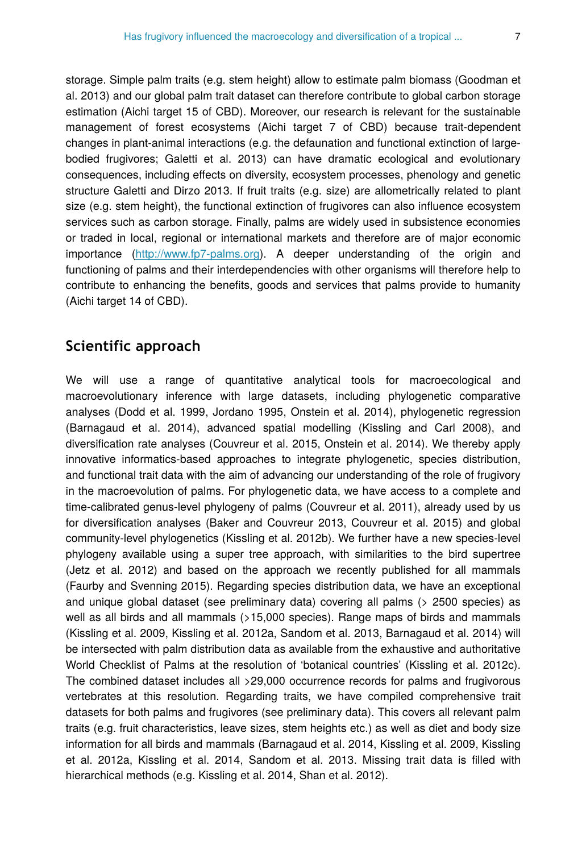storage. Simple palm traits (e.g. stem height) allow to estimate palm biomass (Goodman et al. 2013) and our global palm trait dataset can therefore contribute to global carbon storage estimation (Aichi target 15 of CBD). Moreover, our research is relevant for the sustainable management of forest ecosystems (Aichi target 7 of CBD) because trait-dependent changes in plant-animal interactions (e.g. the defaunation and functional extinction of largebodied frugivores; Galetti et al. 2013) can have dramatic ecological and evolutionary consequences, including effects on diversity, ecosystem processes, phenology and genetic structure Galetti and Dirzo 2013. If fruit traits (e.g. size) are allometrically related to plant size (e.g. stem height), the functional extinction of frugivores can also influence ecosystem services such as carbon storage. Finally, palms are widely used in subsistence economies or traded in local, regional or international markets and therefore are of major economic importance [\(http://www.fp7-palms.org](http://www.fp7-palms.org)). A deeper understanding of the origin and functioning of palms and their interdependencies with other organisms will therefore help to contribute to enhancing the benefits, goods and services that palms provide to humanity (Aichi target 14 of CBD).

#### **Scientific approach**

We will use a range of quantitative analytical tools for macroecological and macroevolutionary inference with large datasets, including phylogenetic comparative analyses (Dodd et al. 1999, Jordano 1995, Onstein et al. 2014), phylogenetic regression (Barnagaud et al. 2014), advanced spatial modelling (Kissling and Carl 2008), and diversification rate analyses (Couvreur et al. 2015, Onstein et al. 2014). We thereby apply innovative informatics-based approaches to integrate phylogenetic, species distribution, and functional trait data with the aim of advancing our understanding of the role of frugivory in the macroevolution of palms. For phylogenetic data, we have access to a complete and time-calibrated genus-level phylogeny of palms (Couvreur et al. 2011), already used by us for diversification analyses (Baker and Couvreur 2013, Couvreur et al. 2015) and global community-level phylogenetics (Kissling et al. 2012b). We further have a new species-level phylogeny available using a super tree approach, with similarities to the bird supertree (Jetz et al. 2012) and based on the approach we recently published for all mammals (Faurby and Svenning 2015). Regarding species distribution data, we have an exceptional and unique global dataset (see preliminary data) covering all palms (> 2500 species) as well as all birds and all mammals (>15,000 species). Range maps of birds and mammals (Kissling et al. 2009, Kissling et al. 2012a, Sandom et al. 2013, Barnagaud et al. 2014) will be intersected with palm distribution data as available from the exhaustive and authoritative World Checklist of Palms at the resolution of 'botanical countries' (Kissling et al. 2012c). The combined dataset includes all >29,000 occurrence records for palms and frugivorous vertebrates at this resolution. Regarding traits, we have compiled comprehensive trait datasets for both palms and frugivores (see preliminary data). This covers all relevant palm traits (e.g. fruit characteristics, leave sizes, stem heights etc.) as well as diet and body size information for all birds and mammals (Barnagaud et al. 2014, Kissling et al. 2009, Kissling et al. 2012a, Kissling et al. 2014, Sandom et al. 2013. Missing trait data is filled with hierarchical methods (e.g. Kissling et al. 2014, Shan et al. 2012).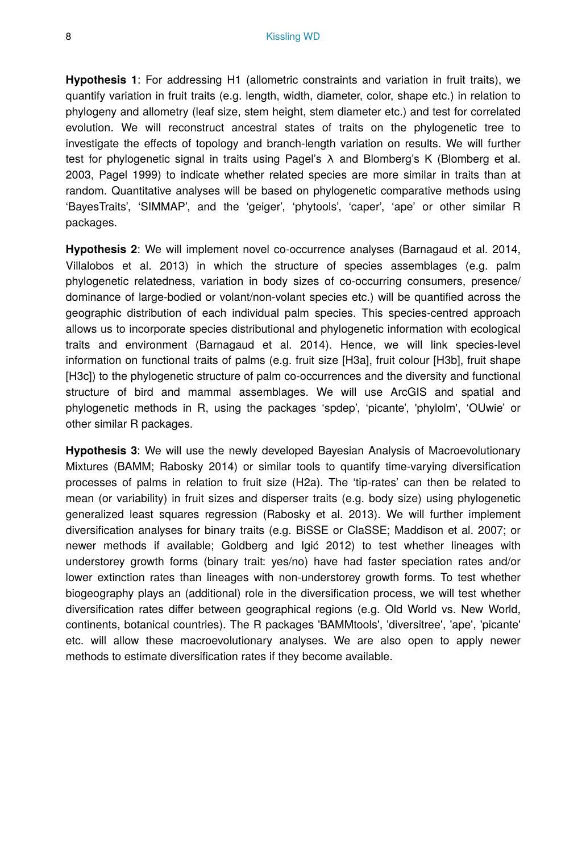**Hypothesis 1**: For addressing H1 (allometric constraints and variation in fruit traits), we quantify variation in fruit traits (e.g. length, width, diameter, color, shape etc.) in relation to phylogeny and allometry (leaf size, stem height, stem diameter etc.) and test for correlated evolution. We will reconstruct ancestral states of traits on the phylogenetic tree to investigate the effects of topology and branch-length variation on results. We will further test for phylogenetic signal in traits using Pagel's  $\lambda$  and Blomberg's K (Blomberg et al. 2003, Pagel 1999) to indicate whether related species are more similar in traits than at random. Quantitative analyses will be based on phylogenetic comparative methods using 'BayesTraits', 'SIMMAP', and the 'geiger', 'phytools', 'caper', 'ape' or other similar R packages.

**Hypothesis 2**: We will implement novel co-occurrence analyses (Barnagaud et al. 2014, Villalobos et al. 2013) in which the structure of species assemblages (e.g. palm phylogenetic relatedness, variation in body sizes of co-occurring consumers, presence/ dominance of large-bodied or volant/non-volant species etc.) will be quantified across the geographic distribution of each individual palm species. This species-centred approach allows us to incorporate species distributional and phylogenetic information with ecological traits and environment (Barnagaud et al. 2014). Hence, we will link species-level information on functional traits of palms (e.g. fruit size [H3a], fruit colour [H3b], fruit shape [H3c]) to the phylogenetic structure of palm co-occurrences and the diversity and functional structure of bird and mammal assemblages. We will use ArcGIS and spatial and phylogenetic methods in R, using the packages 'spdep', 'picante', 'phylolm', 'OUwie' or other similar R packages.

**Hypothesis 3**: We will use the newly developed Bayesian Analysis of Macroevolutionary Mixtures (BAMM; Rabosky 2014) or similar tools to quantify time-varying diversification processes of palms in relation to fruit size (H2a). The 'tip-rates' can then be related to mean (or variability) in fruit sizes and disperser traits (e.g. body size) using phylogenetic generalized least squares regression (Rabosky et al. 2013). We will further implement diversification analyses for binary traits (e.g. BiSSE or ClaSSE; Maddison et al. 2007; or newer methods if available; Goldberg and Igić 2012) to test whether lineages with understorey growth forms (binary trait: yes/no) have had faster speciation rates and/or lower extinction rates than lineages with non-understorey growth forms. To test whether biogeography plays an (additional) role in the diversification process, we will test whether diversification rates differ between geographical regions (e.g. Old World vs. New World, continents, botanical countries). The R packages 'BAMMtools', 'diversitree', 'ape', 'picante' etc. will allow these macroevolutionary analyses. We are also open to apply newer methods to estimate diversification rates if they become available.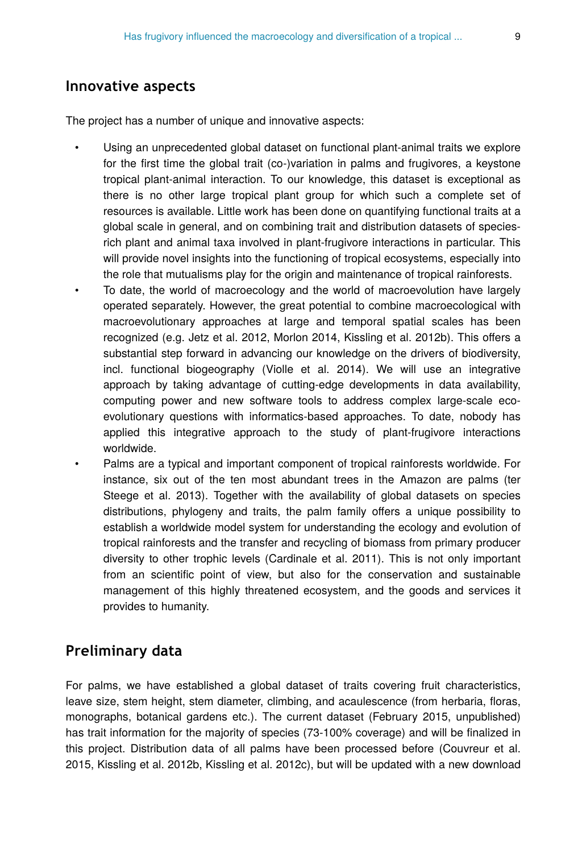#### **Innovative aspects**

The project has a number of unique and innovative aspects:

- Using an unprecedented global dataset on functional plant-animal traits we explore for the first time the global trait (co-)variation in palms and frugivores, a keystone tropical plant-animal interaction. To our knowledge, this dataset is exceptional as there is no other large tropical plant group for which such a complete set of resources is available. Little work has been done on quantifying functional traits at a global scale in general, and on combining trait and distribution datasets of speciesrich plant and animal taxa involved in plant-frugivore interactions in particular. This will provide novel insights into the functioning of tropical ecosystems, especially into the role that mutualisms play for the origin and maintenance of tropical rainforests.
- To date, the world of macroecology and the world of macroevolution have largely operated separately. However, the great potential to combine macroecological with macroevolutionary approaches at large and temporal spatial scales has been recognized (e.g. Jetz et al. 2012, Morlon 2014, Kissling et al. 2012b). This offers a substantial step forward in advancing our knowledge on the drivers of biodiversity, incl. functional biogeography (Violle et al. 2014). We will use an integrative approach by taking advantage of cutting-edge developments in data availability, computing power and new software tools to address complex large-scale ecoevolutionary questions with informatics-based approaches. To date, nobody has applied this integrative approach to the study of plant-frugivore interactions worldwide.
- Palms are a typical and important component of tropical rainforests worldwide. For instance, six out of the ten most abundant trees in the Amazon are palms (ter Steege et al. 2013). Together with the availability of global datasets on species distributions, phylogeny and traits, the palm family offers a unique possibility to establish a worldwide model system for understanding the ecology and evolution of tropical rainforests and the transfer and recycling of biomass from primary producer diversity to other trophic levels (Cardinale et al. 2011). This is not only important from an scientific point of view, but also for the conservation and sustainable management of this highly threatened ecosystem, and the goods and services it provides to humanity.

#### **Preliminary data**

For palms, we have established a global dataset of traits covering fruit characteristics, leave size, stem height, stem diameter, climbing, and acaulescence (from herbaria, floras, monographs, botanical gardens etc.). The current dataset (February 2015, unpublished) has trait information for the majority of species (73-100% coverage) and will be finalized in this project. Distribution data of all palms have been processed before (Couvreur et al. 2015, Kissling et al. 2012b, Kissling et al. 2012c), but will be updated with a new download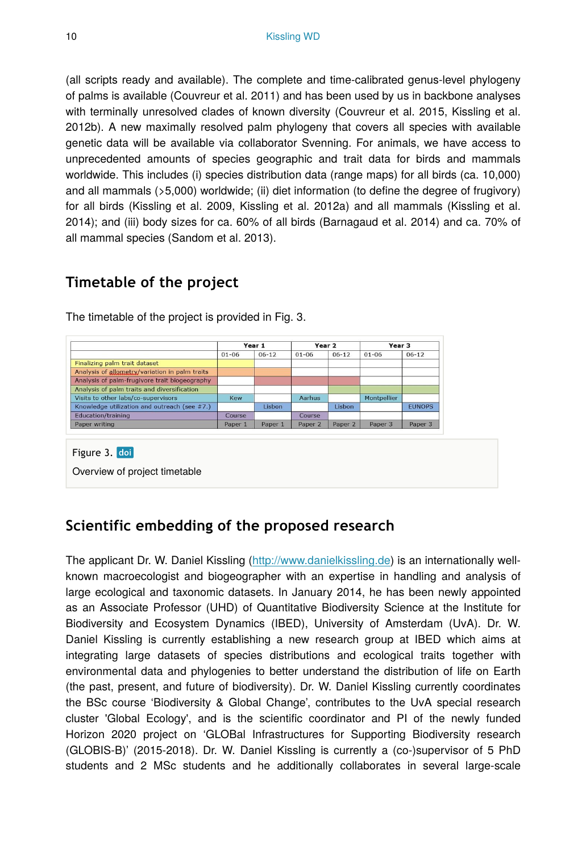(all scripts ready and available). The complete and time-calibrated genus-level phylogeny of palms is available (Couvreur et al. 2011) and has been used by us in backbone analyses with terminally unresolved clades of known diversity (Couvreur et al. 2015, Kissling et al. 2012b). A new maximally resolved palm phylogeny that covers all species with available genetic data will be available via collaborator Svenning. For animals, we have access to unprecedented amounts of species geographic and trait data for birds and mammals worldwide. This includes (i) species distribution data (range maps) for all birds (ca. 10,000) and all mammals (>5,000) worldwide; (ii) diet information (to define the degree of frugivory) for all birds (Kissling et al. 2009, Kissling et al. 2012a) and all mammals (Kissling et al. 2014); and (iii) body sizes for ca. 60% of all birds (Barnagaud et al. 2014) and ca. 70% of all mammal species (Sandom et al. 2013).

## **Timetable of the project**

|                                                | Year 1     |           | Year 2    |           | Year <sub>3</sub> |               |
|------------------------------------------------|------------|-----------|-----------|-----------|-------------------|---------------|
|                                                | $01 - 06$  | $06 - 12$ | $01 - 06$ | $06 - 12$ | $01 - 06$         | $06-12$       |
| Finalizing palm trait dataset                  |            |           |           |           |                   |               |
| Analysis of allometry/variation in palm traits |            |           |           |           |                   |               |
| Analysis of palm-frugivore trait biogeography  |            |           |           |           |                   |               |
| Analysis of palm traits and diversification    |            |           |           |           |                   |               |
| Visits to other labs/co-supervisors            | <b>Kew</b> |           | Aarhus    |           | Montpellier       |               |
| Knowledge utilization and outreach (see #7.)   |            | Lisbon    |           | Lisbon    |                   | <b>EUNOPS</b> |
| Education/training                             | Course     |           | Course    |           |                   |               |
| Paper writing                                  | Paper 1    | Paper 1   | Paper 2   | Paper 2   | Paper 3           | Paper 3       |

The timetable of the project is provided in Fig. 3.

## **Scientific embedding of the proposed research**

The applicant Dr. W. Daniel Kissling [\(http://www.danielkissling.de](http://www.palmworld.org/)) is an internationally wellknown macroecologist and biogeographer with an expertise in handling and analysis of large ecological and taxonomic datasets. In January 2014, he has been newly appointed as an Associate Professor (UHD) of Quantitative Biodiversity Science at the Institute for Biodiversity and Ecosystem Dynamics (IBED), University of Amsterdam (UvA). Dr. W. Daniel Kissling is currently establishing a new research group at IBED which aims at integrating large datasets of species distributions and ecological traits together with environmental data and phylogenies to better understand the distribution of life on Earth (the past, present, and future of biodiversity). Dr. W. Daniel Kissling currently coordinates the BSc course 'Biodiversity & Global Change', contributes to the UvA special research cluster 'Global Ecology', and is the scientific coordinator and PI of the newly funded Horizon 2020 project on 'GLOBal Infrastructures for Supporting Biodiversity research (GLOBIS-B)' (2015-2018). Dr. W. Daniel Kissling is currently a (co-)supervisor of 5 PhD students and 2 MSc students and he additionally collaborates in several large-scale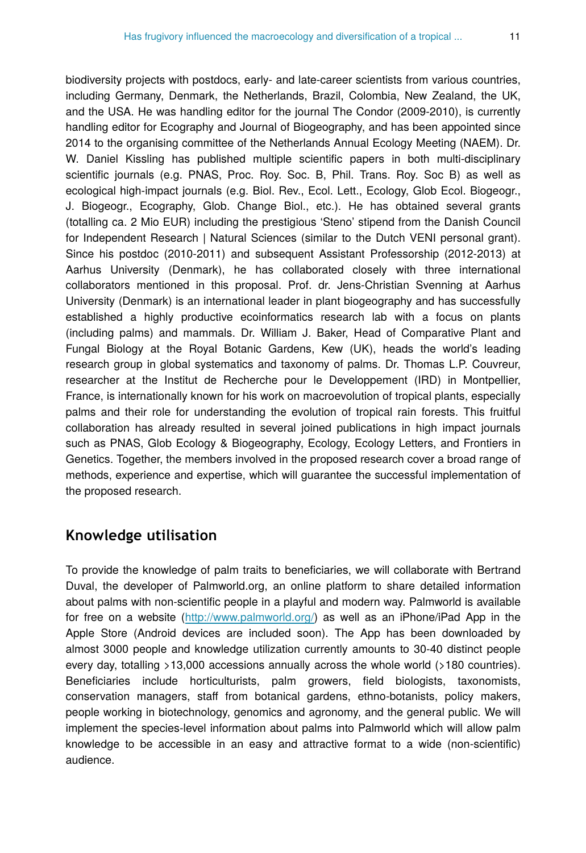biodiversity projects with postdocs, early- and late-career scientists from various countries, including Germany, Denmark, the Netherlands, Brazil, Colombia, New Zealand, the UK, and the USA. He was handling editor for the journal The Condor (2009-2010), is currently handling editor for Ecography and Journal of Biogeography, and has been appointed since 2014 to the organising committee of the Netherlands Annual Ecology Meeting (NAEM). Dr. W. Daniel Kissling has published multiple scientific papers in both multi-disciplinary scientific journals (e.g. PNAS, Proc. Roy. Soc. B, Phil. Trans. Roy. Soc B) as well as ecological high-impact journals (e.g. Biol. Rev., Ecol. Lett., Ecology, Glob Ecol. Biogeogr., J. Biogeogr., Ecography, Glob. Change Biol., etc.). He has obtained several grants (totalling ca. 2 Mio EUR) including the prestigious 'Steno' stipend from the Danish Council for Independent Research | Natural Sciences (similar to the Dutch VENI personal grant). Since his postdoc (2010-2011) and subsequent Assistant Professorship (2012-2013) at Aarhus University (Denmark), he has collaborated closely with three international collaborators mentioned in this proposal. Prof. dr. Jens-Christian Svenning at Aarhus University (Denmark) is an international leader in plant biogeography and has successfully established a highly productive ecoinformatics research lab with a focus on plants (including palms) and mammals. Dr. William J. Baker, Head of Comparative Plant and Fungal Biology at the Royal Botanic Gardens, Kew (UK), heads the world's leading research group in global systematics and taxonomy of palms. Dr. Thomas L.P. Couvreur, researcher at the Institut de Recherche pour le Developpement (IRD) in Montpellier, France, is internationally known for his work on macroevolution of tropical plants, especially palms and their role for understanding the evolution of tropical rain forests. This fruitful collaboration has already resulted in several joined publications in high impact journals such as PNAS, Glob Ecology & Biogeography, Ecology, Ecology Letters, and Frontiers in Genetics. Together, the members involved in the proposed research cover a broad range of methods, experience and expertise, which will guarantee the successful implementation of the proposed research.

### **Knowledge utilisation**

To provide the knowledge of palm traits to beneficiaries, we will collaborate with Bertrand Duval, the developer of Palmworld.org, an online platform to share detailed information about palms with non-scientific people in a playful and modern way. Palmworld is available for free on a website (<http://www.palmworld.org/>) as well as an iPhone/iPad App in the Apple Store (Android devices are included soon). The App has been downloaded by almost 3000 people and knowledge utilization currently amounts to 30-40 distinct people every day, totalling >13,000 accessions annually across the whole world (>180 countries). Beneficiaries include horticulturists, palm growers, field biologists, taxonomists, conservation managers, staff from botanical gardens, ethno-botanists, policy makers, people working in biotechnology, genomics and agronomy, and the general public. We will implement the species-level information about palms into Palmworld which will allow palm knowledge to be accessible in an easy and attractive format to a wide (non-scientific) audience.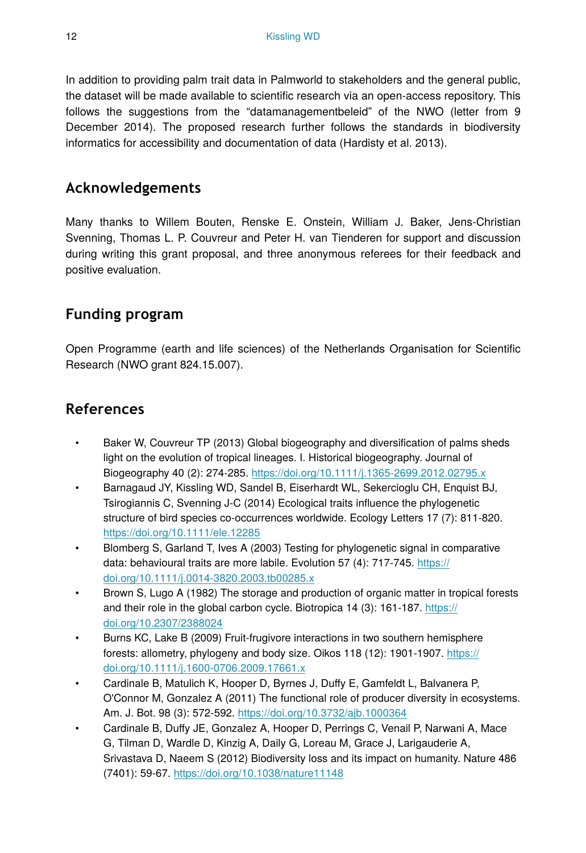In addition to providing palm trait data in Palmworld to stakeholders and the general public, the dataset will be made available to scientific research via an open-access repository. This follows the suggestions from the "datamanagementbeleid" of the NWO (letter from 9 December 2014). The proposed research further follows the standards in biodiversity informatics for accessibility and documentation of data (Hardisty et al. 2013).

## **Acknowledgements**

Many thanks to Willem Bouten, Renske E. Onstein, William J. Baker, Jens-Christian Svenning, Thomas L. P. Couvreur and Peter H. van Tienderen for support and discussion during writing this grant proposal, and three anonymous referees for their feedback and positive evaluation.

## **Funding program**

Open Programme (earth and life sciences) of the Netherlands Organisation for Scientific Research (NWO grant 824.15.007).

## **References**

- Baker W, Couvreur TP (2013) Global biogeography and diversification of palms sheds light on the evolution of tropical lineages. I. Historical biogeography. Journal of Biogeography 40 (2): 274‑285. <https://doi.org/10.1111/j.1365-2699.2012.02795.x>
- Barnagaud JY, Kissling WD, Sandel B, Eiserhardt WL, Sekercioglu CH, Enquist BJ, Tsirogiannis C, Svenning J-C (2014) Ecological traits influence the phylogenetic structure of bird species co-occurrences worldwide. Ecology Letters 17 (7): 811‑820. <https://doi.org/10.1111/ele.12285>
- Blomberg S, Garland T, Ives A (2003) Testing for phylogenetic signal in comparative data: behavioural traits are more labile. Evolution 57 (4): 717-745. [https://](https://doi.org/10.1111/j.0014-3820.2003.tb00285.x) [doi.org/10.1111/j.0014-3820.2003.tb00285.x](https://doi.org/10.1111/j.0014-3820.2003.tb00285.x)
- Brown S, Lugo A (1982) The storage and production of organic matter in tropical forests and their role in the global carbon cycle. Biotropica 14 (3): 161-187. [https://](https://doi.org/10.2307/2388024) [doi.org/10.2307/2388024](https://doi.org/10.2307/2388024)
- Burns KC, Lake B (2009) Fruit-frugivore interactions in two southern hemisphere forests: allometry, phylogeny and body size. Oikos 118 (12): 1901-1907. [https://](https://doi.org/10.1111/j.1600-0706.2009.17661.x) [doi.org/10.1111/j.1600-0706.2009.17661.x](https://doi.org/10.1111/j.1600-0706.2009.17661.x)
- Cardinale B, Matulich K, Hooper D, Byrnes J, Duffy E, Gamfeldt L, Balvanera P, O'Connor M, Gonzalez A (2011) The functional role of producer diversity in ecosystems. Am. J. Bot. 98 (3): 572‑592. <https://doi.org/10.3732/ajb.1000364>
- Cardinale B, Duffy JE, Gonzalez A, Hooper D, Perrings C, Venail P, Narwani A, Mace G, Tilman D, Wardle D, Kinzig A, Daily G, Loreau M, Grace J, Larigauderie A, Srivastava D, Naeem S (2012) Biodiversity loss and its impact on humanity. Nature 486 (7401): 59‑67. <https://doi.org/10.1038/nature11148>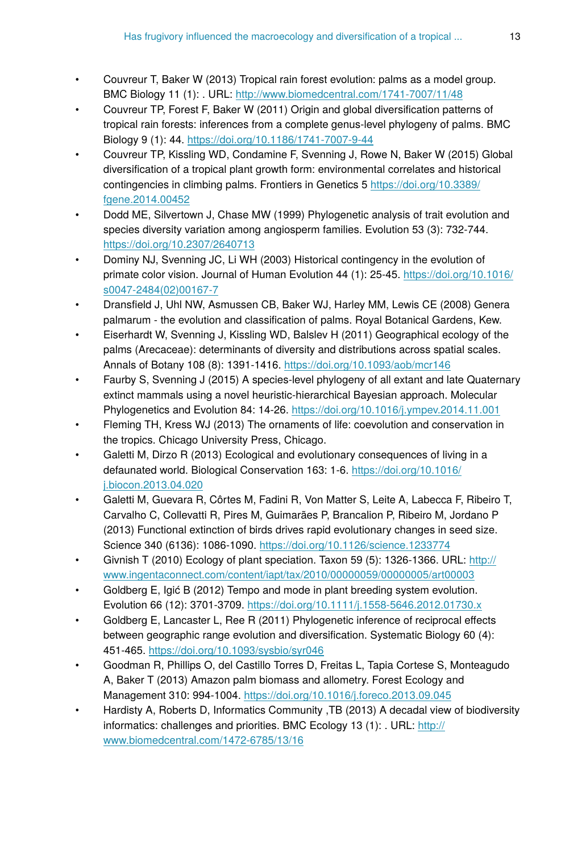- Couvreur T, Baker W (2013) Tropical rain forest evolution: palms as a model group. BMC Biology 11 (1): . URL: <http://www.biomedcentral.com/1741-7007/11/48>
- Couvreur TP, Forest F, Baker W (2011) Origin and global diversification patterns of tropical rain forests: inferences from a complete genus-level phylogeny of palms. BMC Biology 9 (1): 44.<https://doi.org/10.1186/1741-7007-9-44>
- Couvreur TP, Kissling WD, Condamine F, Svenning J, Rowe N, Baker W (2015) Global diversification of a tropical plant growth form: environmental correlates and historical contingencies in climbing palms. Frontiers in Genetics 5 [https://doi.org/10.3389/](https://doi.org/10.3389/fgene.2014.00452) [fgene.2014.00452](https://doi.org/10.3389/fgene.2014.00452)
- Dodd ME, Silvertown J, Chase MW (1999) Phylogenetic analysis of trait evolution and species diversity variation among angiosperm families. Evolution 53 (3): 732-744. <https://doi.org/10.2307/2640713>
- Dominy NJ, Svenning JC, Li WH (2003) Historical contingency in the evolution of primate color vision. Journal of Human Evolution 44 (1): 25‑45. [https://doi.org/10.1016/](https://doi.org/10.1016/s0047-2484(02)00167-7) [s0047-2484\(02\)00167-7](https://doi.org/10.1016/s0047-2484(02)00167-7)
- Dransfield J, Uhl NW, Asmussen CB, Baker WJ, Harley MM, Lewis CE (2008) Genera palmarum - the evolution and classification of palms. Royal Botanical Gardens, Kew.
- Eiserhardt W, Svenning J, Kissling WD, Balslev H (2011) Geographical ecology of the palms (Arecaceae): determinants of diversity and distributions across spatial scales. Annals of Botany 108 (8): 1391‑1416. <https://doi.org/10.1093/aob/mcr146>
- Faurby S, Svenning J (2015) A species-level phylogeny of all extant and late Quaternary extinct mammals using a novel heuristic-hierarchical Bayesian approach. Molecular Phylogenetics and Evolution 84: 14‑26. <https://doi.org/10.1016/j.ympev.2014.11.001>
- Fleming TH, Kress WJ (2013) The ornaments of life: coevolution and conservation in the tropics. Chicago University Press, Chicago.
- Galetti M, Dirzo R (2013) Ecological and evolutionary consequences of living in a defaunated world. Biological Conservation 163: 1‑6. [https://doi.org/10.1016/](https://doi.org/10.1016/j.biocon.2013.04.020) [j.biocon.2013.04.020](https://doi.org/10.1016/j.biocon.2013.04.020)
- Galetti M, Guevara R, Côrtes M, Fadini R, Von Matter S, Leite A, Labecca F, Ribeiro T, Carvalho C, Collevatti R, Pires M, Guimarães P, Brancalion P, Ribeiro M, Jordano P (2013) Functional extinction of birds drives rapid evolutionary changes in seed size. Science 340 (6136): 1086‑1090.<https://doi.org/10.1126/science.1233774>
- Givnish T (2010) Ecology of plant speciation. Taxon 59 (5): 1326-1366. URL: [http://](http://www.ingentaconnect.com/content/iapt/tax/2010/00000059/00000005/art00003) [www.ingentaconnect.com/content/iapt/tax/2010/00000059/00000005/art00003](http://www.ingentaconnect.com/content/iapt/tax/2010/00000059/00000005/art00003)
- Goldberg E, Igić B (2012) Tempo and mode in plant breeding system evolution. Evolution 66 (12): 3701‑3709.<https://doi.org/10.1111/j.1558-5646.2012.01730.x>
- Goldberg E, Lancaster L, Ree R (2011) Phylogenetic inference of reciprocal effects between geographic range evolution and diversification. Systematic Biology 60 (4): 451‑465. <https://doi.org/10.1093/sysbio/syr046>
- Goodman R, Phillips O, del Castillo Torres D, Freitas L, Tapia Cortese S, Monteagudo A, Baker T (2013) Amazon palm biomass and allometry. Forest Ecology and Management 310: 994‑1004. <https://doi.org/10.1016/j.foreco.2013.09.045>
- Hardisty A, Roberts D, Informatics Community ,TB (2013) A decadal view of biodiversity informatics: challenges and priorities. BMC Ecology 13 (1): . URL: [http://](http://www.biomedcentral.com/1472-6785/13/16) [www.biomedcentral.com/1472-6785/13/16](http://www.biomedcentral.com/1472-6785/13/16)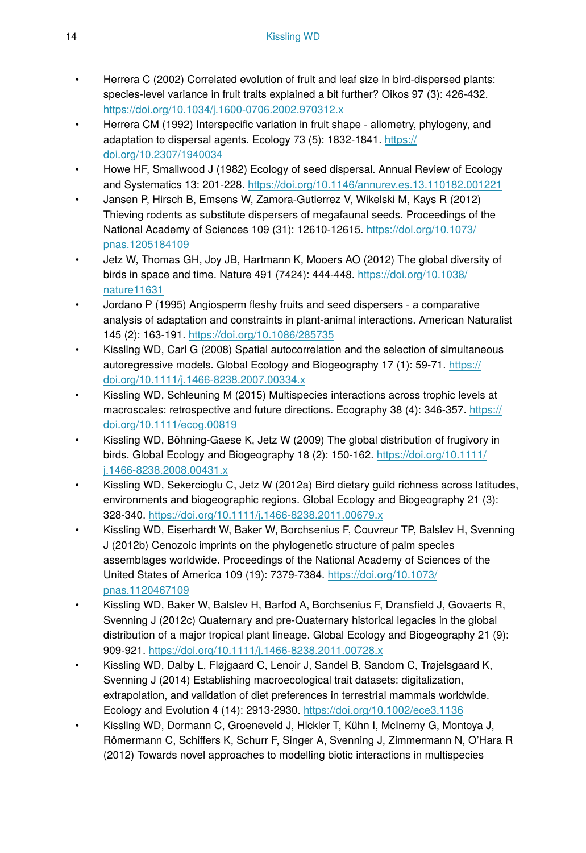- Herrera C (2002) Correlated evolution of fruit and leaf size in bird-dispersed plants: species-level variance in fruit traits explained a bit further? Oikos 97 (3): 426-432. <https://doi.org/10.1034/j.1600-0706.2002.970312.x>
- Herrera CM (1992) Interspecific variation in fruit shape allometry, phylogeny, and adaptation to dispersal agents. Ecology 73 (5): 1832-1841. [https://](https://doi.org/10.2307/1940034) [doi.org/10.2307/1940034](https://doi.org/10.2307/1940034)
- Howe HF, Smallwood J (1982) Ecology of seed dispersal. Annual Review of Ecology and Systematics 13: 201‑228. <https://doi.org/10.1146/annurev.es.13.110182.001221>
- Jansen P, Hirsch B, Emsens W, Zamora-Gutierrez V, Wikelski M, Kays R (2012) Thieving rodents as substitute dispersers of megafaunal seeds. Proceedings of the National Academy of Sciences 109 (31): 12610‑12615. [https://doi.org/10.1073/](https://doi.org/10.1073/pnas.1205184109) [pnas.1205184109](https://doi.org/10.1073/pnas.1205184109)
- Jetz W, Thomas GH, Joy JB, Hartmann K, Mooers AO (2012) The global diversity of birds in space and time. Nature 491 (7424): 444‑448. [https://doi.org/10.1038/](https://doi.org/10.1038/nature11631) [nature11631](https://doi.org/10.1038/nature11631)
- Jordano P (1995) Angiosperm fleshy fruits and seed dispersers a comparative analysis of adaptation and constraints in plant-animal interactions. American Naturalist 145 (2): 163‑191.<https://doi.org/10.1086/285735>
- Kissling WD, Carl G (2008) Spatial autocorrelation and the selection of simultaneous autoregressive models. Global Ecology and Biogeography 17 (1): 59‑71. [https://](https://doi.org/10.1111/j.1466-8238.2007.00334.x) [doi.org/10.1111/j.1466-8238.2007.00334.x](https://doi.org/10.1111/j.1466-8238.2007.00334.x)
- Kissling WD, Schleuning M (2015) Multispecies interactions across trophic levels at macroscales: retrospective and future directions. Ecography 38 (4): 346-357. [https://](https://doi.org/10.1111/ecog.00819) [doi.org/10.1111/ecog.00819](https://doi.org/10.1111/ecog.00819)
- Kissling WD, Böhning-Gaese K, Jetz W (2009) The global distribution of frugivory in birds. Global Ecology and Biogeography 18 (2): 150-162. [https://doi.org/10.1111/](https://doi.org/10.1111/j.1466-8238.2008.00431.x) [j.1466-8238.2008.00431.x](https://doi.org/10.1111/j.1466-8238.2008.00431.x)
- Kissling WD, Sekercioglu C, Jetz W (2012a) Bird dietary guild richness across latitudes, environments and biogeographic regions. Global Ecology and Biogeography 21 (3): 328‑340. <https://doi.org/10.1111/j.1466-8238.2011.00679.x>
- Kissling WD, Eiserhardt W, Baker W, Borchsenius F, Couvreur TP, Balslev H, Svenning J (2012b) Cenozoic imprints on the phylogenetic structure of palm species assemblages worldwide. Proceedings of the National Academy of Sciences of the United States of America 109 (19): 7379‑7384. [https://doi.org/10.1073/](https://doi.org/10.1073/pnas.1120467109) [pnas.1120467109](https://doi.org/10.1073/pnas.1120467109)
- Kissling WD, Baker W, Balslev H, Barfod A, Borchsenius F, Dransfield J, Govaerts R, Svenning J (2012c) Quaternary and pre-Quaternary historical legacies in the global distribution of a major tropical plant lineage. Global Ecology and Biogeography 21 (9): 909‑921. <https://doi.org/10.1111/j.1466-8238.2011.00728.x>
- Kissling WD, Dalby L, Fløjgaard C, Lenoir J, Sandel B, Sandom C, Trøjelsgaard K, Svenning J (2014) Establishing macroecological trait datasets: digitalization, extrapolation, and validation of diet preferences in terrestrial mammals worldwide. Ecology and Evolution 4 (14): 2913‑2930.<https://doi.org/10.1002/ece3.1136>
- Kissling WD, Dormann C, Groeneveld J, Hickler T, Kühn I, McInerny G, Montoya J, Römermann C, Schiffers K, Schurr F, Singer A, Svenning J, Zimmermann N, O'Hara R (2012) Towards novel approaches to modelling biotic interactions in multispecies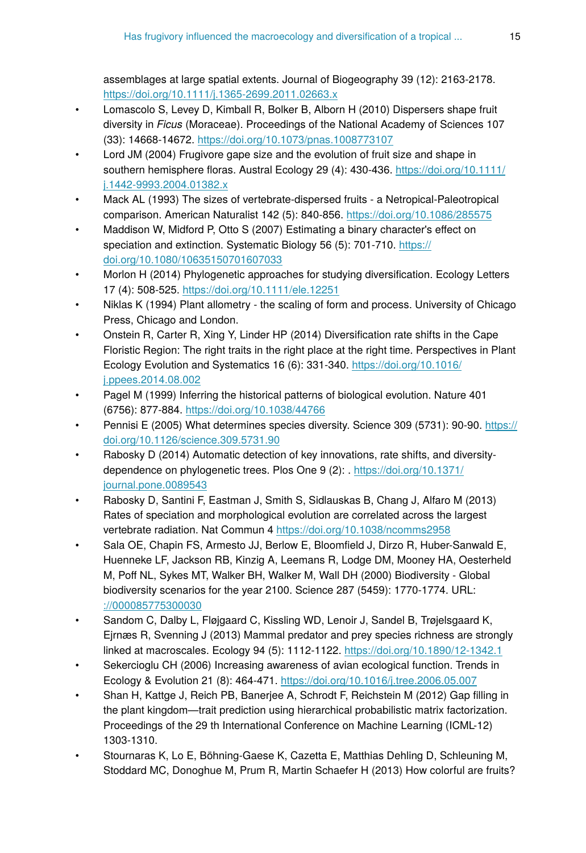assemblages at large spatial extents. Journal of Biogeography 39 (12): 2163‑2178. <https://doi.org/10.1111/j.1365-2699.2011.02663.x>

- Lomascolo S, Levey D, Kimball R, Bolker B, Alborn H (2010) Dispersers shape fruit diversity in *Ficus* (Moraceae). Proceedings of the National Academy of Sciences 107 (33): 14668‑14672. <https://doi.org/10.1073/pnas.1008773107>
- Lord JM (2004) Frugivore gape size and the evolution of fruit size and shape in southern hemisphere floras. Austral Ecology 29 (4): 430‑436. [https://doi.org/10.1111/](https://doi.org/10.1111/j.1442-9993.2004.01382.x) [j.1442-9993.2004.01382.x](https://doi.org/10.1111/j.1442-9993.2004.01382.x)
- Mack AL (1993) The sizes of vertebrate-dispersed fruits a Netropical-Paleotropical comparison. American Naturalist 142 (5): 840‑856.<https://doi.org/10.1086/285575>
- Maddison W, Midford P, Otto S (2007) Estimating a binary character's effect on speciation and extinction. Systematic Biology 56 (5): 701-710. [https://](https://doi.org/10.1080/10635150701607033) [doi.org/10.1080/10635150701607033](https://doi.org/10.1080/10635150701607033)
- Morlon H (2014) Phylogenetic approaches for studying diversification. Ecology Letters 17 (4): 508‑525. <https://doi.org/10.1111/ele.12251>
- Niklas K (1994) Plant allometry the scaling of form and process. University of Chicago Press, Chicago and London.
- Onstein R, Carter R, Xing Y, Linder HP (2014) Diversification rate shifts in the Cape Floristic Region: The right traits in the right place at the right time. Perspectives in Plant Ecology Evolution and Systematics 16 (6): 331‑340. [https://doi.org/10.1016/](https://doi.org/10.1016/j.ppees.2014.08.002) [j.ppees.2014.08.002](https://doi.org/10.1016/j.ppees.2014.08.002)
- Pagel M (1999) Inferring the historical patterns of biological evolution. Nature 401 (6756): 877‑884.<https://doi.org/10.1038/44766>
- Pennisi E (2005) What determines species diversity. Science 309 (5731): 90‑90. [https://](https://doi.org/10.1126/science.309.5731.90) [doi.org/10.1126/science.309.5731.90](https://doi.org/10.1126/science.309.5731.90)
- Rabosky D (2014) Automatic detection of key innovations, rate shifts, and diversitydependence on phylogenetic trees. Plos One 9 (2): . [https://doi.org/10.1371/](https://doi.org/10.1371/journal.pone.0089543) [journal.pone.0089543](https://doi.org/10.1371/journal.pone.0089543)
- Rabosky D, Santini F, Eastman J, Smith S, Sidlauskas B, Chang J, Alfaro M (2013) Rates of speciation and morphological evolution are correlated across the largest vertebrate radiation. Nat Commun 4<https://doi.org/10.1038/ncomms2958>
- Sala OE, Chapin FS, Armesto JJ, Berlow E, Bloomfield J, Dirzo R, Huber-Sanwald E, Huenneke LF, Jackson RB, Kinzig A, Leemans R, Lodge DM, Mooney HA, Oesterheld M, Poff NL, Sykes MT, Walker BH, Walker M, Wall DH (2000) Biodiversity - Global biodiversity scenarios for the year 2100. Science 287 (5459): 1770-1774. URL: [://000085775300030](http://%3CGo%20to%20ISI%3E://000085775300030)
- Sandom C, Dalby L, Fløjgaard C, Kissling WD, Lenoir J, Sandel B, Trøjelsgaard K, Ejrnæs R, Svenning J (2013) Mammal predator and prey species richness are strongly linked at macroscales. Ecology 94 (5): 1112‑1122. <https://doi.org/10.1890/12-1342.1>
- Sekercioglu CH (2006) Increasing awareness of avian ecological function. Trends in Ecology & Evolution 21 (8): 464‑471.<https://doi.org/10.1016/j.tree.2006.05.007>
- Shan H, Kattge J, Reich PB, Banerjee A, Schrodt F, Reichstein M (2012) Gap filling in the plant kingdom—trait prediction using hierarchical probabilistic matrix factorization. Proceedings of the 29 th International Conference on Machine Learning (ICML-12) 1303‑1310.
- Stournaras K, Lo E, Böhning-Gaese K, Cazetta E, Matthias Dehling D, Schleuning M, Stoddard MC, Donoghue M, Prum R, Martin Schaefer H (2013) How colorful are fruits?